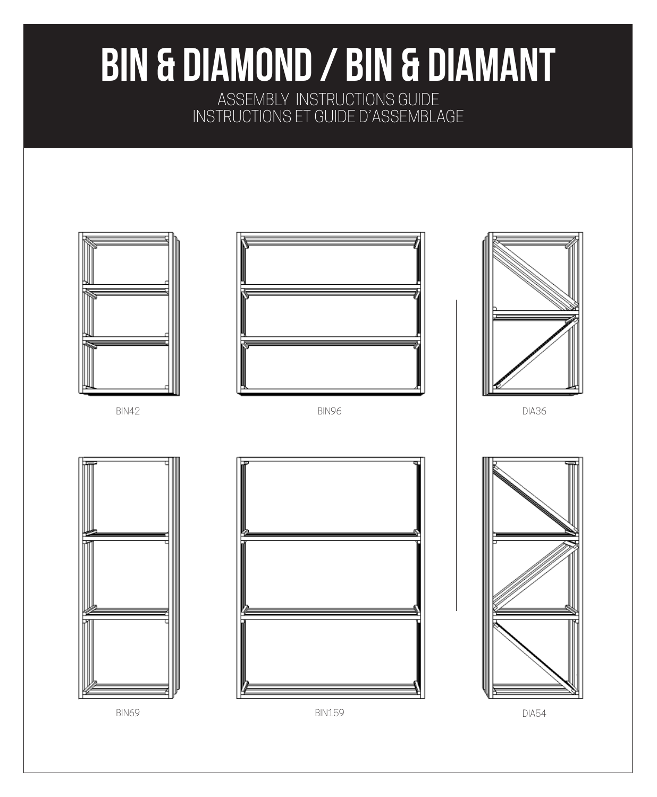# BIN & DIAMOND / BIN & DIAMANT

ASSEMBLY INSTRUCTIONS GUIDE INSTRUCTIONS ET GUIDE D'ASSEMBLAGE

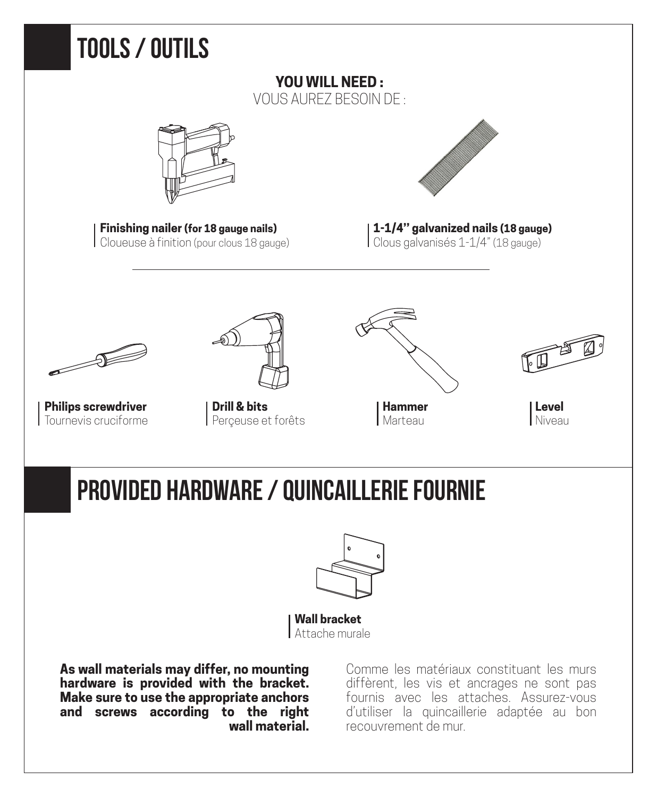

**As wall materials may differ, no mounting hardware is provided with the bracket. Make sure to use the appropriate anchors and screws according to the right wall material.**

Comme les matériaux constituant les murs diffèrent, les vis et ancrages ne sont pas fournis avec les attaches. Assurez-vous d'utiliser la quincaillerie adaptée au bon recouvrement de mur.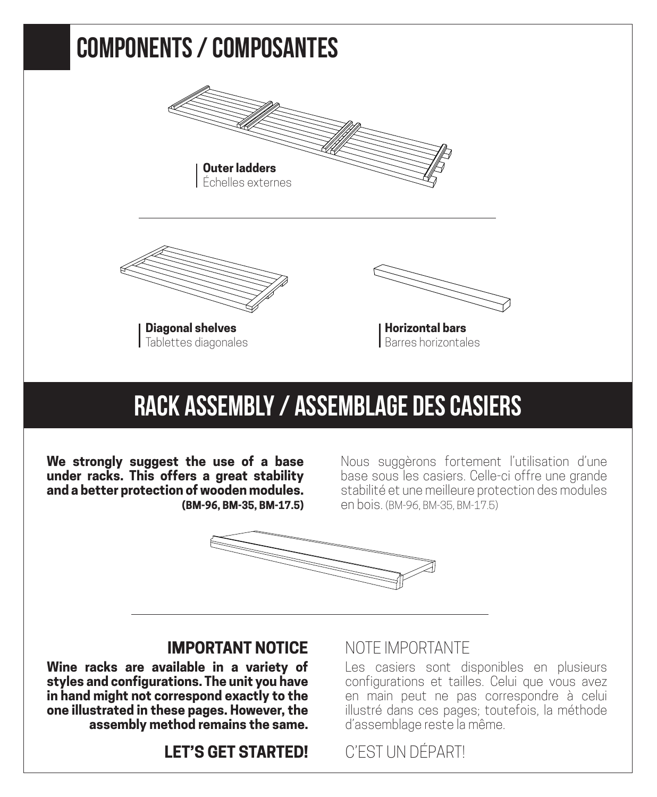

### RACK ASSEMBLY / ASSEMBLAGE DES CASIERS

**We strongly suggest the use of a base under racks. This offers a great stability and a better protection of wooden modules. (BM-96, BM-35, BM-17.5)**

Nous suggèrons fortement l'utilisation d'une base sous les casiers. Celle-ci offre une grande stabilité et une meilleure protection des modules en bois. (BM-96, BM-35, BM-17.5)



#### **IMPORTANT NOTICE**

**Wine racks are available in a variety of styles and configurations. The unit you have in hand might not correspond exactly to the one illustrated in these pages. However, the assembly method remains the same.**

#### **LET'S GET STARTED!**

#### NOTE IMPORTANTE

Les casiers sont disponibles en plusieurs configurations et tailles. Celui que vous avez en main peut ne pas correspondre à celui illustré dans ces pages; toutefois, la méthode d'assemblage reste la même.

#### C'EST UN DÉPART!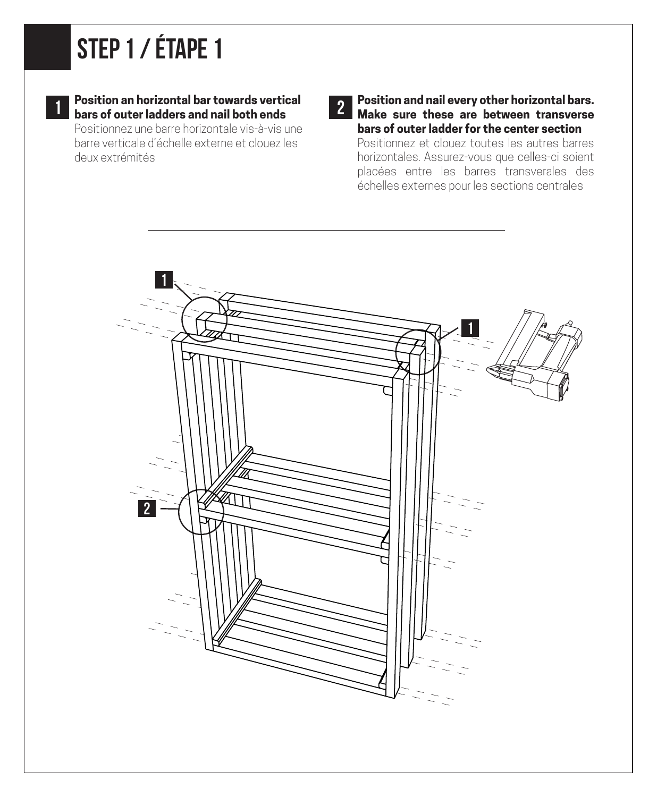## STEP 1 / ÉTAPE 1



**Position an horizontal bar towards vertical bars of outer ladders and nail both ends**<br> **1** bars of outer ladders and nail both ends

Positionnez une barre horizontale vis-à-vis une barre verticale d'échelle externe et clouez les deux extrémités

**Position and nail every other horizontal bars. Make sure these are between transverse bars of outer ladder for the center section** Positionnez et clouez toutes les autres barres horizontales. Assurez-vous que celles-ci soient placées entre les barres transverales des échelles externes pour les sections centrales

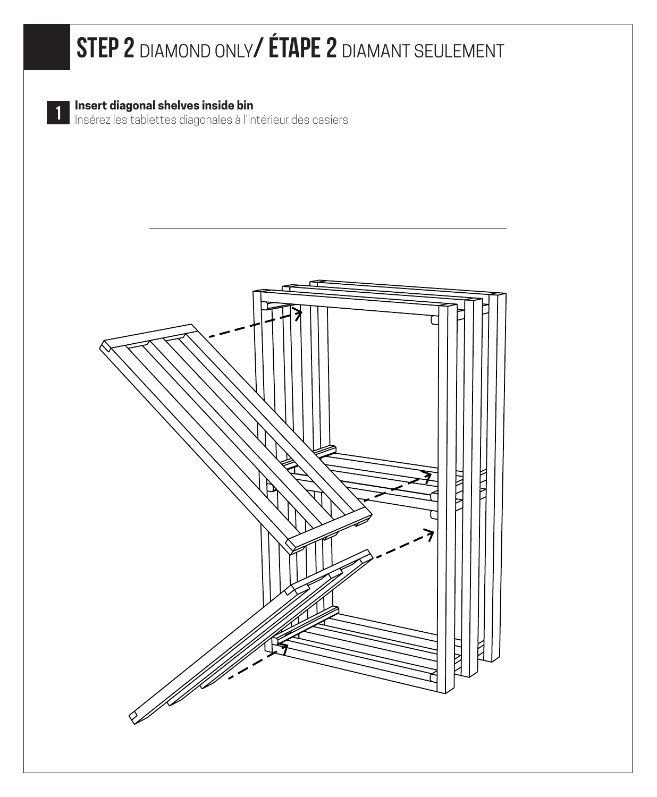### STEP 2 DIAMOND ONLY/ ÉTAPE 2 DIAMANT SEULEMENT



**Insert diagonal shelves inside bin<br>Insérez les tablettes diagonales à l'intérieur des casiers** 

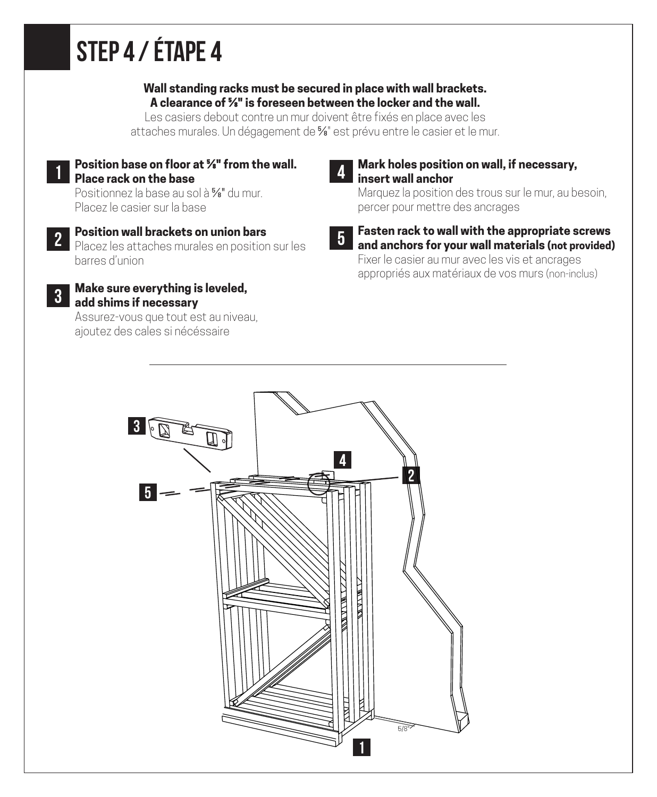## STEP 4/ ÉTAPE 4

#### **Wall standing racks must be secured in place with wall brackets. A clearance of ⅝" is foreseen between the locker and the wall.**

Les casiers debout contre un mur doivent être fixés en place avec les attaches murales. Un dégagement de ⅝" est prévu entre le casier et le mur.

**Position base on floor at ⅝" from the wall. Place rack on the base** 1

Positionnez la base au sol à ⅝" du mur. Placez le casier sur la base

- **Position wall brackets on union bars** Placez les attaches murales en position sur les barres d'union 2
- **Make sure everything is leveled, add shims if necessary** 3

Assurez-vous que tout est au niveau, ajoutez des cales si nécéssaire



#### **Mark holes position on wall, if necessary, insert wall anchor**

Marquez la position des trous sur le mur, au besoin, percer pour mettre des ancrages

5

#### **Fasten rack to wall with the appropriate screws and anchors for your wall materials (not provided)**

Fixer le casier au mur avec les vis et ancrages appropriés aux matériaux de vos murs (non-inclus)

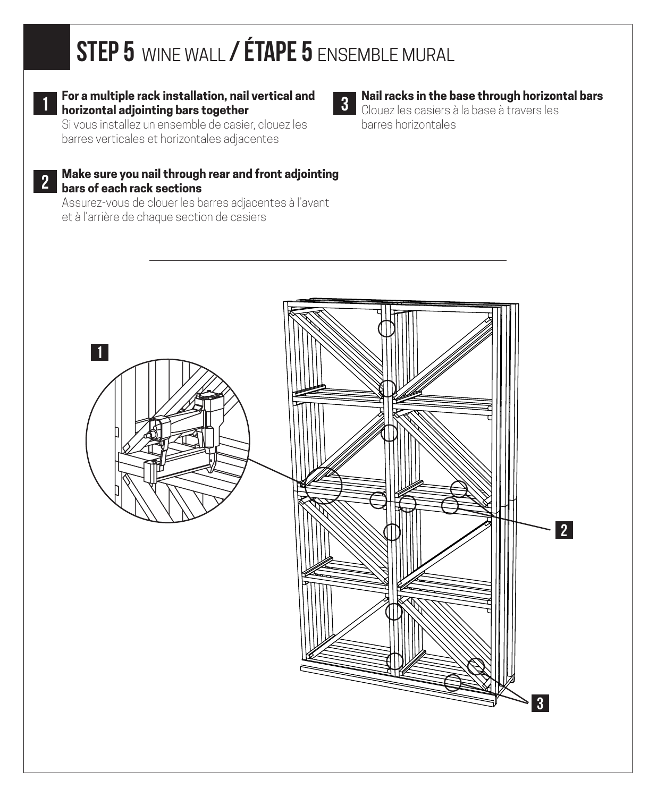### STEP 5 WINE WALL / ÉTAPE 5 ENSEMBLE MURAL



#### **For a multiple rack installation, nail vertical and horizontal adjointing bars together**

Si vous installez un ensemble de casier, clouez les barres verticales et horizontales adjacentes

2

#### **Make sure you nail through rear and front adjointing bars of each rack sections**

Assurez-vous de clouer les barres adjacentes à l'avant et à l'arrière de chaque section de casiers

#### **Nail racks in the base through horizontal bars** 3 **Nail racks in the base through norizon**<br>Clouez les casiers à la base à travers les

barres horizontales